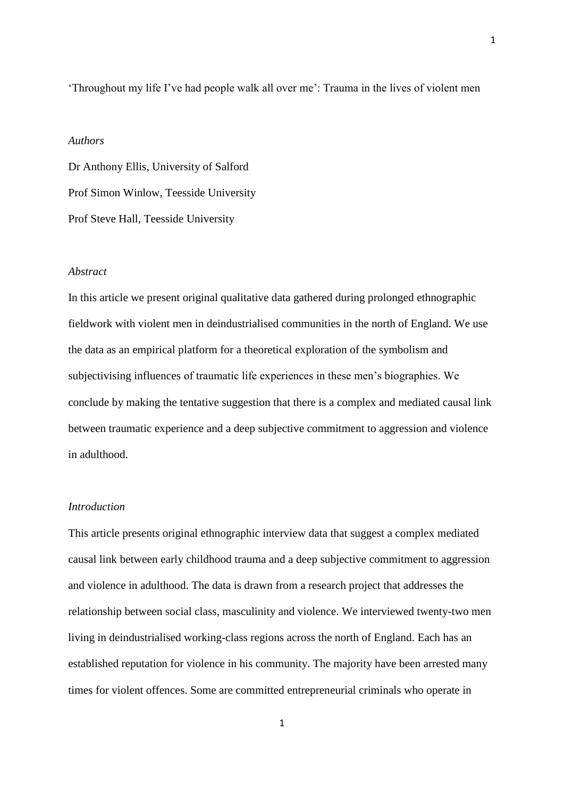'Throughout my life I've had people walk all over me': Trauma in the lives of violent men

#### *Authors*

Dr Anthony Ellis, University of Salford Prof Simon Winlow, Teesside University Prof Steve Hall, Teesside University

## *Abstract*

In this article we present original qualitative data gathered during prolonged ethnographic fieldwork with violent men in deindustrialised communities in the north of England. We use the data as an empirical platform for a theoretical exploration of the symbolism and subjectivising influences of traumatic life experiences in these men's biographies. We conclude by making the tentative suggestion that there is a complex and mediated causal link between traumatic experience and a deep subjective commitment to aggression and violence in adulthood.

## *Introduction*

This article presents original ethnographic interview data that suggest a complex mediated causal link between early childhood trauma and a deep subjective commitment to aggression and violence in adulthood. The data is drawn from a research project that addresses the relationship between social class, masculinity and violence. We interviewed twenty-two men living in deindustrialised working-class regions across the north of England. Each has an established reputation for violence in his community. The majority have been arrested many times for violent offences. Some are committed entrepreneurial criminals who operate in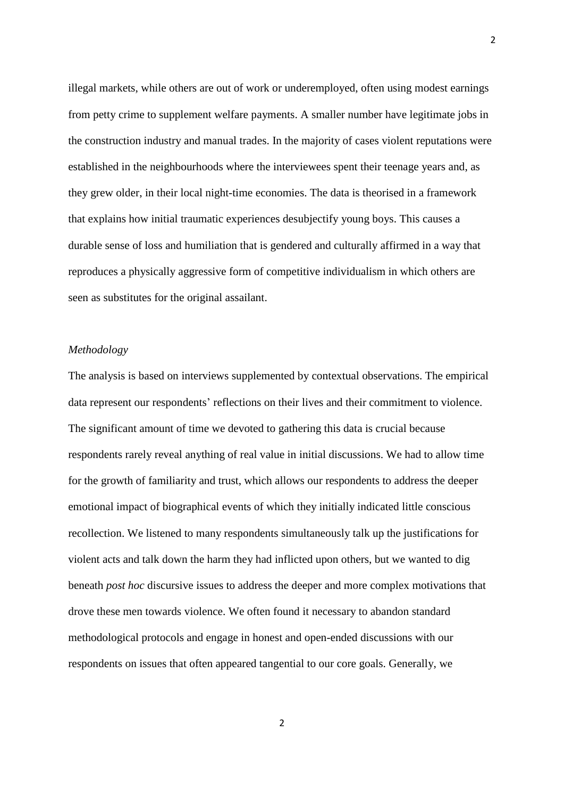illegal markets, while others are out of work or underemployed, often using modest earnings from petty crime to supplement welfare payments. A smaller number have legitimate jobs in the construction industry and manual trades. In the majority of cases violent reputations were established in the neighbourhoods where the interviewees spent their teenage years and, as they grew older, in their local night-time economies. The data is theorised in a framework that explains how initial traumatic experiences desubjectify young boys. This causes a durable sense of loss and humiliation that is gendered and culturally affirmed in a way that reproduces a physically aggressive form of competitive individualism in which others are seen as substitutes for the original assailant.

2

# *Methodology*

The analysis is based on interviews supplemented by contextual observations. The empirical data represent our respondents' reflections on their lives and their commitment to violence. The significant amount of time we devoted to gathering this data is crucial because respondents rarely reveal anything of real value in initial discussions. We had to allow time for the growth of familiarity and trust, which allows our respondents to address the deeper emotional impact of biographical events of which they initially indicated little conscious recollection. We listened to many respondents simultaneously talk up the justifications for violent acts and talk down the harm they had inflicted upon others, but we wanted to dig beneath *post hoc* discursive issues to address the deeper and more complex motivations that drove these men towards violence. We often found it necessary to abandon standard methodological protocols and engage in honest and open-ended discussions with our respondents on issues that often appeared tangential to our core goals. Generally, we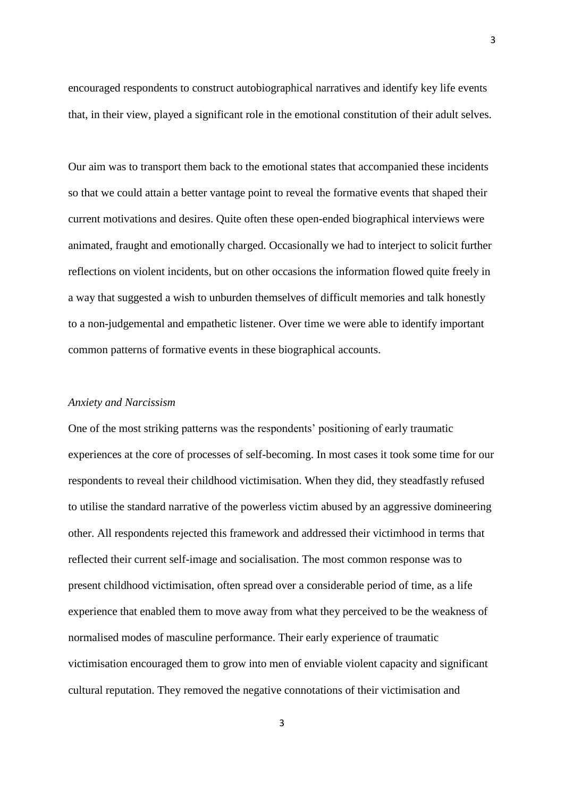encouraged respondents to construct autobiographical narratives and identify key life events that, in their view, played a significant role in the emotional constitution of their adult selves.

Our aim was to transport them back to the emotional states that accompanied these incidents so that we could attain a better vantage point to reveal the formative events that shaped their current motivations and desires. Quite often these open-ended biographical interviews were animated, fraught and emotionally charged. Occasionally we had to interject to solicit further reflections on violent incidents, but on other occasions the information flowed quite freely in a way that suggested a wish to unburden themselves of difficult memories and talk honestly to a non-judgemental and empathetic listener. Over time we were able to identify important common patterns of formative events in these biographical accounts.

### *Anxiety and Narcissism*

One of the most striking patterns was the respondents' positioning of early traumatic experiences at the core of processes of self-becoming. In most cases it took some time for our respondents to reveal their childhood victimisation. When they did, they steadfastly refused to utilise the standard narrative of the powerless victim abused by an aggressive domineering other. All respondents rejected this framework and addressed their victimhood in terms that reflected their current self-image and socialisation. The most common response was to present childhood victimisation, often spread over a considerable period of time, as a life experience that enabled them to move away from what they perceived to be the weakness of normalised modes of masculine performance. Their early experience of traumatic victimisation encouraged them to grow into men of enviable violent capacity and significant cultural reputation. They removed the negative connotations of their victimisation and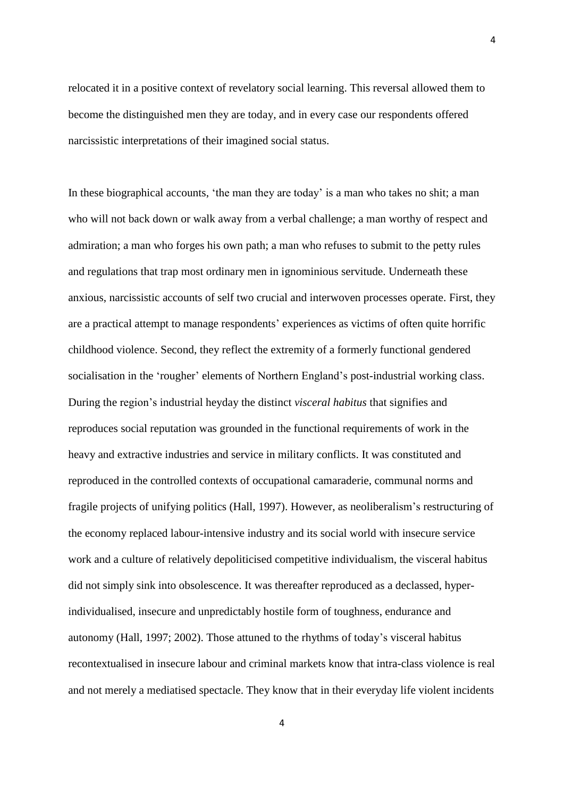relocated it in a positive context of revelatory social learning. This reversal allowed them to become the distinguished men they are today, and in every case our respondents offered narcissistic interpretations of their imagined social status.

In these biographical accounts, 'the man they are today' is a man who takes no shit; a man who will not back down or walk away from a verbal challenge; a man worthy of respect and admiration; a man who forges his own path; a man who refuses to submit to the petty rules and regulations that trap most ordinary men in ignominious servitude. Underneath these anxious, narcissistic accounts of self two crucial and interwoven processes operate. First, they are a practical attempt to manage respondents' experiences as victims of often quite horrific childhood violence. Second, they reflect the extremity of a formerly functional gendered socialisation in the 'rougher' elements of Northern England's post-industrial working class. During the region's industrial heyday the distinct *visceral habitus* that signifies and reproduces social reputation was grounded in the functional requirements of work in the heavy and extractive industries and service in military conflicts. It was constituted and reproduced in the controlled contexts of occupational camaraderie, communal norms and fragile projects of unifying politics (Hall, 1997). However, as neoliberalism's restructuring of the economy replaced labour-intensive industry and its social world with insecure service work and a culture of relatively depoliticised competitive individualism, the visceral habitus did not simply sink into obsolescence. It was thereafter reproduced as a declassed, hyperindividualised, insecure and unpredictably hostile form of toughness, endurance and autonomy (Hall, 1997; 2002). Those attuned to the rhythms of today's visceral habitus recontextualised in insecure labour and criminal markets know that intra-class violence is real and not merely a mediatised spectacle. They know that in their everyday life violent incidents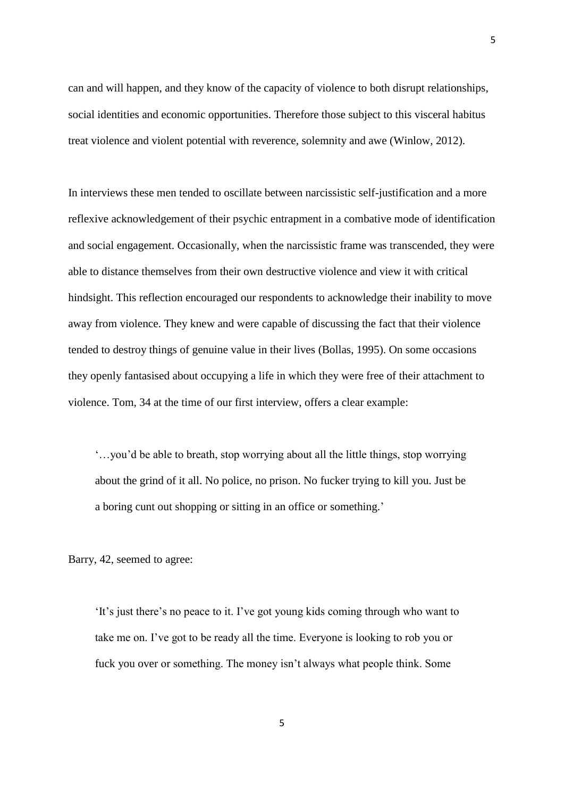can and will happen, and they know of the capacity of violence to both disrupt relationships, social identities and economic opportunities. Therefore those subject to this visceral habitus treat violence and violent potential with reverence, solemnity and awe (Winlow, 2012).

In interviews these men tended to oscillate between narcissistic self-justification and a more reflexive acknowledgement of their psychic entrapment in a combative mode of identification and social engagement. Occasionally, when the narcissistic frame was transcended, they were able to distance themselves from their own destructive violence and view it with critical hindsight. This reflection encouraged our respondents to acknowledge their inability to move away from violence. They knew and were capable of discussing the fact that their violence tended to destroy things of genuine value in their lives (Bollas, 1995). On some occasions they openly fantasised about occupying a life in which they were free of their attachment to violence. Tom, 34 at the time of our first interview, offers a clear example:

'…you'd be able to breath, stop worrying about all the little things, stop worrying about the grind of it all. No police, no prison. No fucker trying to kill you. Just be a boring cunt out shopping or sitting in an office or something.'

Barry, 42, seemed to agree:

'It's just there's no peace to it. I've got young kids coming through who want to take me on. I've got to be ready all the time. Everyone is looking to rob you or fuck you over or something. The money isn't always what people think. Some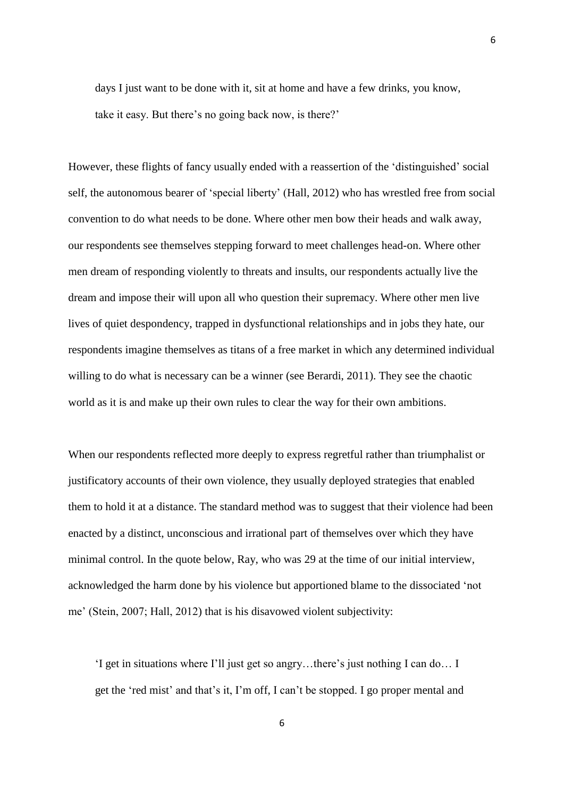days I just want to be done with it, sit at home and have a few drinks, you know, take it easy. But there's no going back now, is there?'

However, these flights of fancy usually ended with a reassertion of the 'distinguished' social self, the autonomous bearer of 'special liberty' (Hall, 2012) who has wrestled free from social convention to do what needs to be done. Where other men bow their heads and walk away, our respondents see themselves stepping forward to meet challenges head-on. Where other men dream of responding violently to threats and insults, our respondents actually live the dream and impose their will upon all who question their supremacy. Where other men live lives of quiet despondency, trapped in dysfunctional relationships and in jobs they hate, our respondents imagine themselves as titans of a free market in which any determined individual willing to do what is necessary can be a winner (see Berardi, 2011). They see the chaotic world as it is and make up their own rules to clear the way for their own ambitions.

When our respondents reflected more deeply to express regretful rather than triumphalist or justificatory accounts of their own violence, they usually deployed strategies that enabled them to hold it at a distance. The standard method was to suggest that their violence had been enacted by a distinct, unconscious and irrational part of themselves over which they have minimal control. In the quote below, Ray, who was 29 at the time of our initial interview, acknowledged the harm done by his violence but apportioned blame to the dissociated 'not me' (Stein, 2007; Hall, 2012) that is his disavowed violent subjectivity:

'I get in situations where I'll just get so angry…there's just nothing I can do… I get the 'red mist' and that's it, I'm off, I can't be stopped. I go proper mental and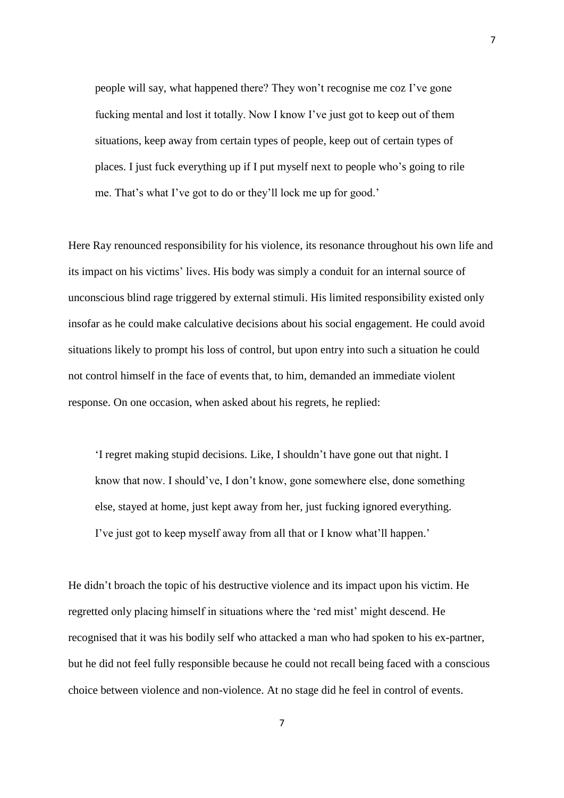people will say, what happened there? They won't recognise me coz I've gone fucking mental and lost it totally. Now I know I've just got to keep out of them situations, keep away from certain types of people, keep out of certain types of places. I just fuck everything up if I put myself next to people who's going to rile me. That's what I've got to do or they'll lock me up for good.'

Here Ray renounced responsibility for his violence, its resonance throughout his own life and its impact on his victims' lives. His body was simply a conduit for an internal source of unconscious blind rage triggered by external stimuli. His limited responsibility existed only insofar as he could make calculative decisions about his social engagement. He could avoid situations likely to prompt his loss of control, but upon entry into such a situation he could not control himself in the face of events that, to him, demanded an immediate violent response. On one occasion, when asked about his regrets, he replied:

'I regret making stupid decisions. Like, I shouldn't have gone out that night. I know that now. I should've, I don't know, gone somewhere else, done something else, stayed at home, just kept away from her, just fucking ignored everything. I've just got to keep myself away from all that or I know what'll happen.'

He didn't broach the topic of his destructive violence and its impact upon his victim. He regretted only placing himself in situations where the 'red mist' might descend. He recognised that it was his bodily self who attacked a man who had spoken to his ex-partner, but he did not feel fully responsible because he could not recall being faced with a conscious choice between violence and non-violence. At no stage did he feel in control of events.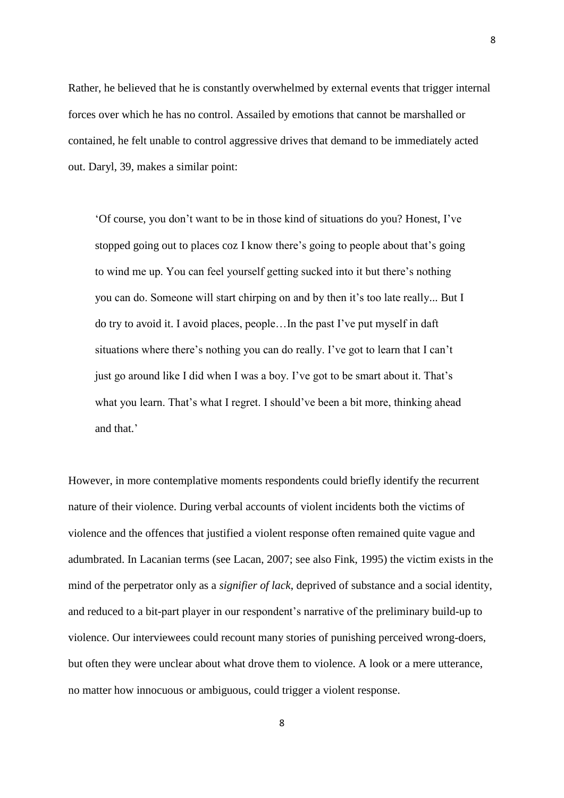Rather, he believed that he is constantly overwhelmed by external events that trigger internal forces over which he has no control. Assailed by emotions that cannot be marshalled or contained, he felt unable to control aggressive drives that demand to be immediately acted out. Daryl, 39, makes a similar point:

'Of course, you don't want to be in those kind of situations do you? Honest, I've stopped going out to places coz I know there's going to people about that's going to wind me up. You can feel yourself getting sucked into it but there's nothing you can do. Someone will start chirping on and by then it's too late really... But I do try to avoid it. I avoid places, people…In the past I've put myself in daft situations where there's nothing you can do really. I've got to learn that I can't just go around like I did when I was a boy. I've got to be smart about it. That's what you learn. That's what I regret. I should've been a bit more, thinking ahead and that.'

However, in more contemplative moments respondents could briefly identify the recurrent nature of their violence. During verbal accounts of violent incidents both the victims of violence and the offences that justified a violent response often remained quite vague and adumbrated. In Lacanian terms (see Lacan, 2007; see also Fink, 1995) the victim exists in the mind of the perpetrator only as a *signifier of lack*, deprived of substance and a social identity, and reduced to a bit-part player in our respondent's narrative of the preliminary build-up to violence. Our interviewees could recount many stories of punishing perceived wrong-doers, but often they were unclear about what drove them to violence. A look or a mere utterance, no matter how innocuous or ambiguous, could trigger a violent response.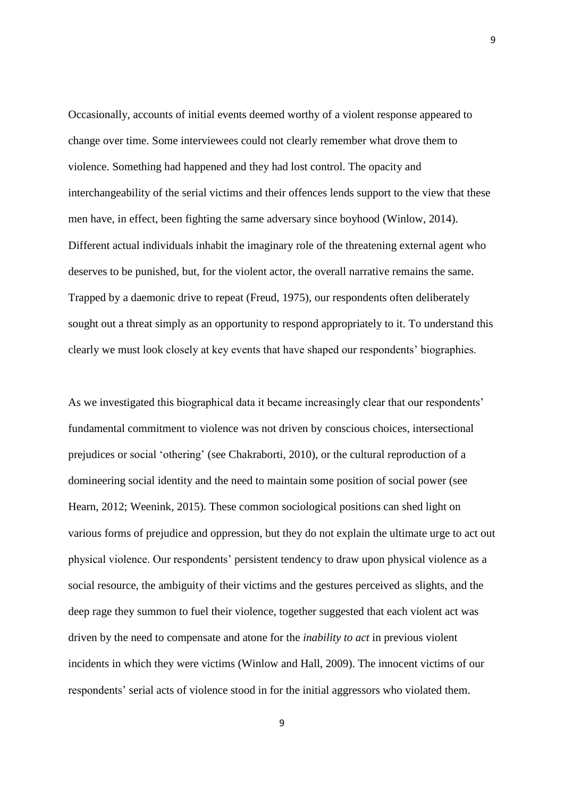Occasionally, accounts of initial events deemed worthy of a violent response appeared to change over time. Some interviewees could not clearly remember what drove them to violence. Something had happened and they had lost control. The opacity and interchangeability of the serial victims and their offences lends support to the view that these men have, in effect, been fighting the same adversary since boyhood (Winlow, 2014). Different actual individuals inhabit the imaginary role of the threatening external agent who deserves to be punished, but, for the violent actor, the overall narrative remains the same. Trapped by a daemonic drive to repeat (Freud, 1975), our respondents often deliberately sought out a threat simply as an opportunity to respond appropriately to it. To understand this clearly we must look closely at key events that have shaped our respondents' biographies.

As we investigated this biographical data it became increasingly clear that our respondents' fundamental commitment to violence was not driven by conscious choices, intersectional prejudices or social 'othering' (see Chakraborti, 2010), or the cultural reproduction of a domineering social identity and the need to maintain some position of social power (see Hearn, 2012; Weenink, 2015). These common sociological positions can shed light on various forms of prejudice and oppression, but they do not explain the ultimate urge to act out physical violence. Our respondents' persistent tendency to draw upon physical violence as a social resource, the ambiguity of their victims and the gestures perceived as slights, and the deep rage they summon to fuel their violence, together suggested that each violent act was driven by the need to compensate and atone for the *inability to act* in previous violent incidents in which they were victims (Winlow and Hall, 2009). The innocent victims of our respondents' serial acts of violence stood in for the initial aggressors who violated them.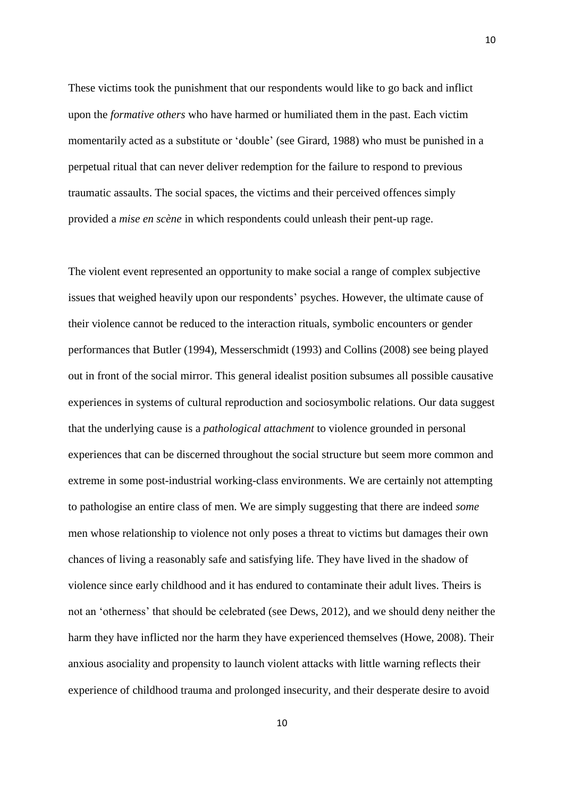These victims took the punishment that our respondents would like to go back and inflict upon the *formative others* who have harmed or humiliated them in the past. Each victim momentarily acted as a substitute or 'double' (see Girard, 1988) who must be punished in a perpetual ritual that can never deliver redemption for the failure to respond to previous traumatic assaults. The social spaces, the victims and their perceived offences simply provided a *mise en scène* in which respondents could unleash their pent-up rage.

The violent event represented an opportunity to make social a range of complex subjective issues that weighed heavily upon our respondents' psyches. However, the ultimate cause of their violence cannot be reduced to the interaction rituals, symbolic encounters or gender performances that Butler (1994), Messerschmidt (1993) and Collins (2008) see being played out in front of the social mirror. This general idealist position subsumes all possible causative experiences in systems of cultural reproduction and sociosymbolic relations. Our data suggest that the underlying cause is a *pathological attachment* to violence grounded in personal experiences that can be discerned throughout the social structure but seem more common and extreme in some post-industrial working-class environments. We are certainly not attempting to pathologise an entire class of men. We are simply suggesting that there are indeed *some* men whose relationship to violence not only poses a threat to victims but damages their own chances of living a reasonably safe and satisfying life. They have lived in the shadow of violence since early childhood and it has endured to contaminate their adult lives. Theirs is not an 'otherness' that should be celebrated (see Dews, 2012), and we should deny neither the harm they have inflicted nor the harm they have experienced themselves (Howe, 2008). Their anxious asociality and propensity to launch violent attacks with little warning reflects their experience of childhood trauma and prolonged insecurity, and their desperate desire to avoid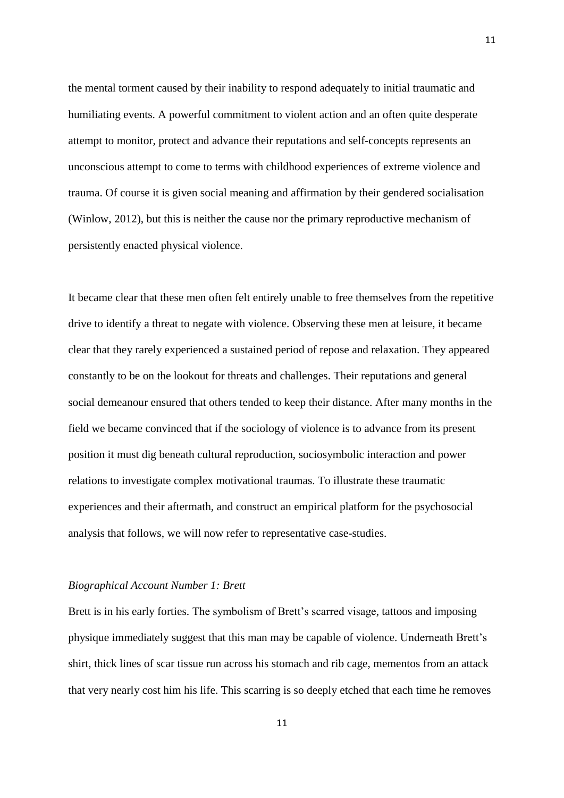the mental torment caused by their inability to respond adequately to initial traumatic and humiliating events. A powerful commitment to violent action and an often quite desperate attempt to monitor, protect and advance their reputations and self-concepts represents an unconscious attempt to come to terms with childhood experiences of extreme violence and trauma. Of course it is given social meaning and affirmation by their gendered socialisation (Winlow, 2012), but this is neither the cause nor the primary reproductive mechanism of persistently enacted physical violence.

It became clear that these men often felt entirely unable to free themselves from the repetitive drive to identify a threat to negate with violence. Observing these men at leisure, it became clear that they rarely experienced a sustained period of repose and relaxation. They appeared constantly to be on the lookout for threats and challenges. Their reputations and general social demeanour ensured that others tended to keep their distance. After many months in the field we became convinced that if the sociology of violence is to advance from its present position it must dig beneath cultural reproduction, sociosymbolic interaction and power relations to investigate complex motivational traumas. To illustrate these traumatic experiences and their aftermath, and construct an empirical platform for the psychosocial analysis that follows, we will now refer to representative case-studies.

# *Biographical Account Number 1: Brett*

Brett is in his early forties. The symbolism of Brett's scarred visage, tattoos and imposing physique immediately suggest that this man may be capable of violence. Underneath Brett's shirt, thick lines of scar tissue run across his stomach and rib cage, mementos from an attack that very nearly cost him his life. This scarring is so deeply etched that each time he removes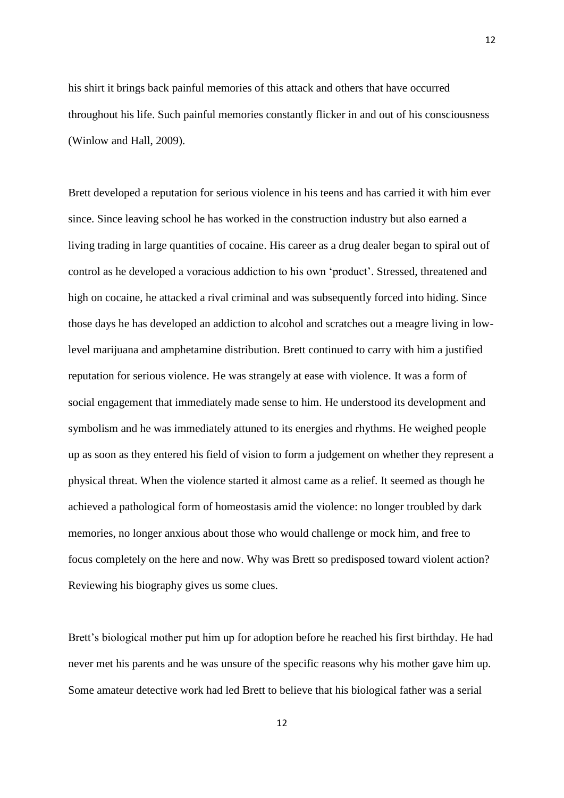his shirt it brings back painful memories of this attack and others that have occurred throughout his life. Such painful memories constantly flicker in and out of his consciousness (Winlow and Hall, 2009).

Brett developed a reputation for serious violence in his teens and has carried it with him ever since. Since leaving school he has worked in the construction industry but also earned a living trading in large quantities of cocaine. His career as a drug dealer began to spiral out of control as he developed a voracious addiction to his own 'product'. Stressed, threatened and high on cocaine, he attacked a rival criminal and was subsequently forced into hiding. Since those days he has developed an addiction to alcohol and scratches out a meagre living in lowlevel marijuana and amphetamine distribution. Brett continued to carry with him a justified reputation for serious violence. He was strangely at ease with violence. It was a form of social engagement that immediately made sense to him. He understood its development and symbolism and he was immediately attuned to its energies and rhythms. He weighed people up as soon as they entered his field of vision to form a judgement on whether they represent a physical threat. When the violence started it almost came as a relief. It seemed as though he achieved a pathological form of homeostasis amid the violence: no longer troubled by dark memories, no longer anxious about those who would challenge or mock him, and free to focus completely on the here and now. Why was Brett so predisposed toward violent action? Reviewing his biography gives us some clues.

Brett's biological mother put him up for adoption before he reached his first birthday. He had never met his parents and he was unsure of the specific reasons why his mother gave him up. Some amateur detective work had led Brett to believe that his biological father was a serial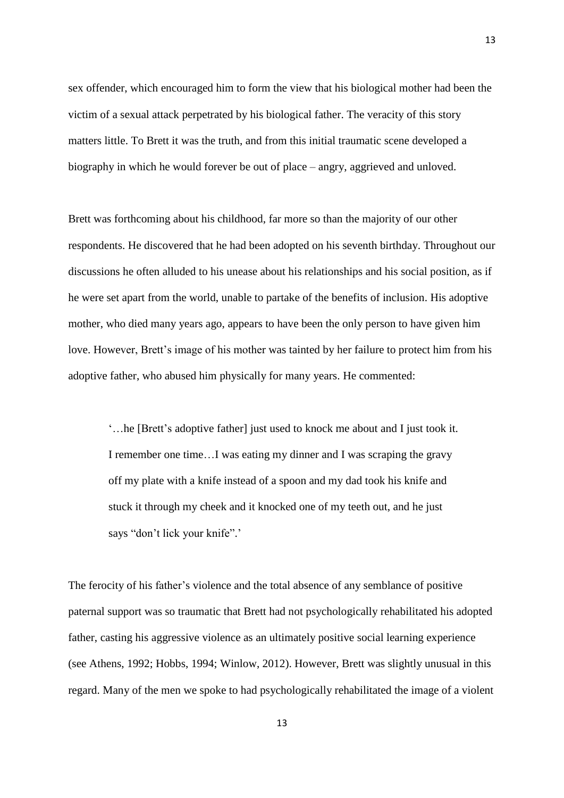sex offender, which encouraged him to form the view that his biological mother had been the victim of a sexual attack perpetrated by his biological father. The veracity of this story matters little. To Brett it was the truth, and from this initial traumatic scene developed a biography in which he would forever be out of place – angry, aggrieved and unloved.

Brett was forthcoming about his childhood, far more so than the majority of our other respondents. He discovered that he had been adopted on his seventh birthday. Throughout our discussions he often alluded to his unease about his relationships and his social position, as if he were set apart from the world, unable to partake of the benefits of inclusion. His adoptive mother, who died many years ago, appears to have been the only person to have given him love. However, Brett's image of his mother was tainted by her failure to protect him from his adoptive father, who abused him physically for many years. He commented:

'…he [Brett's adoptive father] just used to knock me about and I just took it. I remember one time…I was eating my dinner and I was scraping the gravy off my plate with a knife instead of a spoon and my dad took his knife and stuck it through my cheek and it knocked one of my teeth out, and he just says "don't lick your knife".'

The ferocity of his father's violence and the total absence of any semblance of positive paternal support was so traumatic that Brett had not psychologically rehabilitated his adopted father, casting his aggressive violence as an ultimately positive social learning experience (see Athens, 1992; Hobbs, 1994; Winlow, 2012). However, Brett was slightly unusual in this regard. Many of the men we spoke to had psychologically rehabilitated the image of a violent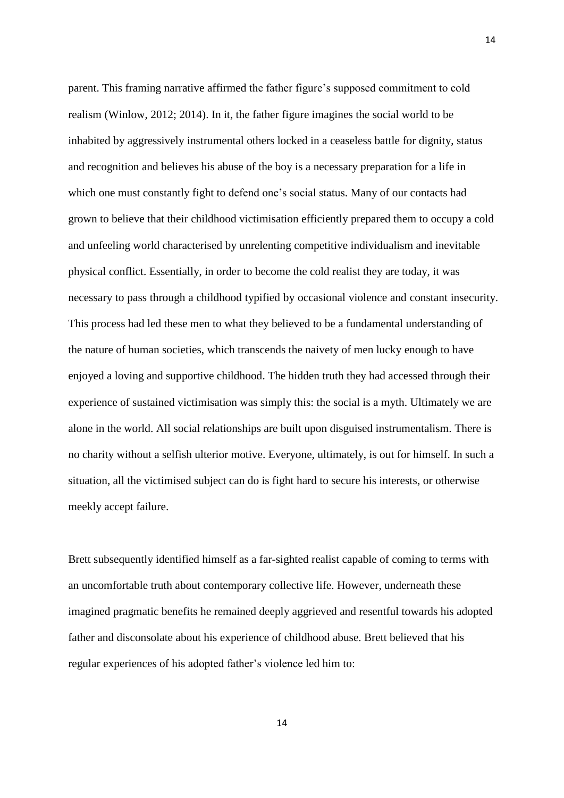parent. This framing narrative affirmed the father figure's supposed commitment to cold realism (Winlow, 2012; 2014). In it, the father figure imagines the social world to be inhabited by aggressively instrumental others locked in a ceaseless battle for dignity, status and recognition and believes his abuse of the boy is a necessary preparation for a life in which one must constantly fight to defend one's social status. Many of our contacts had grown to believe that their childhood victimisation efficiently prepared them to occupy a cold and unfeeling world characterised by unrelenting competitive individualism and inevitable physical conflict. Essentially, in order to become the cold realist they are today, it was necessary to pass through a childhood typified by occasional violence and constant insecurity. This process had led these men to what they believed to be a fundamental understanding of the nature of human societies, which transcends the naivety of men lucky enough to have enjoyed a loving and supportive childhood. The hidden truth they had accessed through their experience of sustained victimisation was simply this: the social is a myth. Ultimately we are alone in the world. All social relationships are built upon disguised instrumentalism. There is no charity without a selfish ulterior motive. Everyone, ultimately, is out for himself. In such a situation, all the victimised subject can do is fight hard to secure his interests, or otherwise meekly accept failure.

14

Brett subsequently identified himself as a far-sighted realist capable of coming to terms with an uncomfortable truth about contemporary collective life. However, underneath these imagined pragmatic benefits he remained deeply aggrieved and resentful towards his adopted father and disconsolate about his experience of childhood abuse. Brett believed that his regular experiences of his adopted father's violence led him to: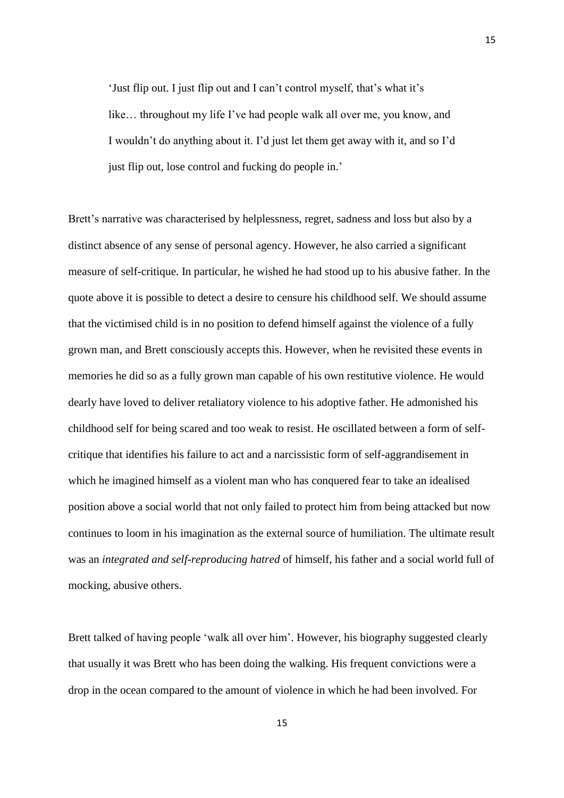'Just flip out. I just flip out and I can't control myself, that's what it's like… throughout my life I've had people walk all over me, you know, and I wouldn't do anything about it. I'd just let them get away with it, and so I'd just flip out, lose control and fucking do people in.'

Brett's narrative was characterised by helplessness, regret, sadness and loss but also by a distinct absence of any sense of personal agency. However, he also carried a significant measure of self-critique. In particular, he wished he had stood up to his abusive father. In the quote above it is possible to detect a desire to censure his childhood self. We should assume that the victimised child is in no position to defend himself against the violence of a fully grown man, and Brett consciously accepts this. However, when he revisited these events in memories he did so as a fully grown man capable of his own restitutive violence. He would dearly have loved to deliver retaliatory violence to his adoptive father. He admonished his childhood self for being scared and too weak to resist. He oscillated between a form of selfcritique that identifies his failure to act and a narcissistic form of self-aggrandisement in which he imagined himself as a violent man who has conquered fear to take an idealised position above a social world that not only failed to protect him from being attacked but now continues to loom in his imagination as the external source of humiliation. The ultimate result was an *integrated and self-reproducing hatred* of himself, his father and a social world full of mocking, abusive others.

Brett talked of having people 'walk all over him'. However, his biography suggested clearly that usually it was Brett who has been doing the walking. His frequent convictions were a drop in the ocean compared to the amount of violence in which he had been involved. For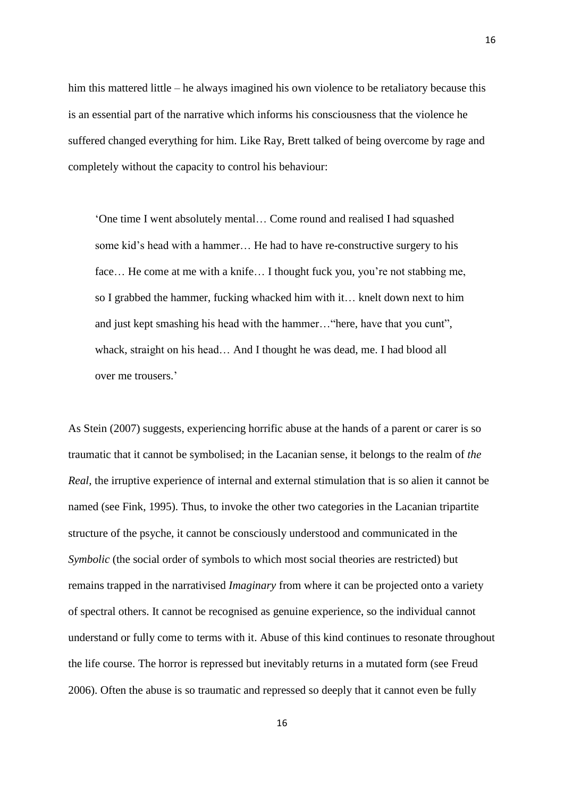him this mattered little – he always imagined his own violence to be retaliatory because this is an essential part of the narrative which informs his consciousness that the violence he suffered changed everything for him. Like Ray, Brett talked of being overcome by rage and completely without the capacity to control his behaviour:

'One time I went absolutely mental… Come round and realised I had squashed some kid's head with a hammer… He had to have re-constructive surgery to his face... He come at me with a knife... I thought fuck you, you're not stabbing me, so I grabbed the hammer, fucking whacked him with it… knelt down next to him and just kept smashing his head with the hammer…"here, have that you cunt", whack, straight on his head… And I thought he was dead, me. I had blood all over me trousers.'

As Stein (2007) suggests, experiencing horrific abuse at the hands of a parent or carer is so traumatic that it cannot be symbolised; in the Lacanian sense, it belongs to the realm of *the Real*, the irruptive experience of internal and external stimulation that is so alien it cannot be named (see Fink, 1995). Thus, to invoke the other two categories in the Lacanian tripartite structure of the psyche, it cannot be consciously understood and communicated in the *Symbolic* (the social order of symbols to which most social theories are restricted) but remains trapped in the narrativised *Imaginary* from where it can be projected onto a variety of spectral others. It cannot be recognised as genuine experience, so the individual cannot understand or fully come to terms with it. Abuse of this kind continues to resonate throughout the life course. The horror is repressed but inevitably returns in a mutated form (see Freud 2006). Often the abuse is so traumatic and repressed so deeply that it cannot even be fully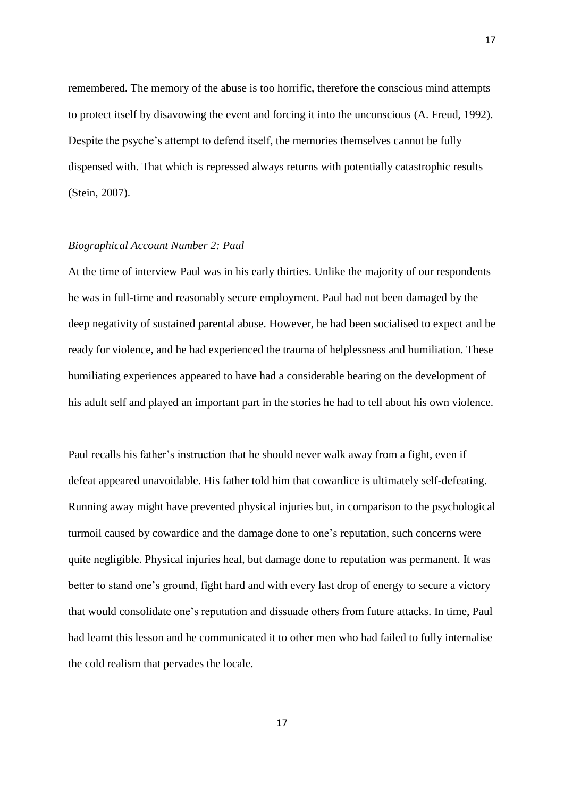remembered. The memory of the abuse is too horrific, therefore the conscious mind attempts to protect itself by disavowing the event and forcing it into the unconscious (A. Freud, 1992). Despite the psyche's attempt to defend itself, the memories themselves cannot be fully dispensed with. That which is repressed always returns with potentially catastrophic results (Stein, 2007).

## *Biographical Account Number 2: Paul*

At the time of interview Paul was in his early thirties. Unlike the majority of our respondents he was in full-time and reasonably secure employment. Paul had not been damaged by the deep negativity of sustained parental abuse. However, he had been socialised to expect and be ready for violence, and he had experienced the trauma of helplessness and humiliation. These humiliating experiences appeared to have had a considerable bearing on the development of his adult self and played an important part in the stories he had to tell about his own violence.

Paul recalls his father's instruction that he should never walk away from a fight, even if defeat appeared unavoidable. His father told him that cowardice is ultimately self-defeating. Running away might have prevented physical injuries but, in comparison to the psychological turmoil caused by cowardice and the damage done to one's reputation, such concerns were quite negligible. Physical injuries heal, but damage done to reputation was permanent. It was better to stand one's ground, fight hard and with every last drop of energy to secure a victory that would consolidate one's reputation and dissuade others from future attacks. In time, Paul had learnt this lesson and he communicated it to other men who had failed to fully internalise the cold realism that pervades the locale.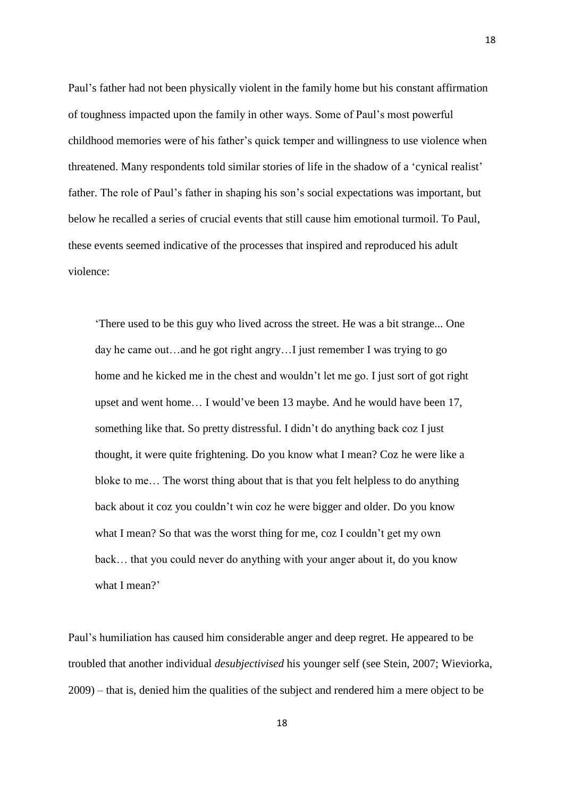Paul's father had not been physically violent in the family home but his constant affirmation of toughness impacted upon the family in other ways. Some of Paul's most powerful childhood memories were of his father's quick temper and willingness to use violence when threatened. Many respondents told similar stories of life in the shadow of a 'cynical realist' father. The role of Paul's father in shaping his son's social expectations was important, but below he recalled a series of crucial events that still cause him emotional turmoil. To Paul, these events seemed indicative of the processes that inspired and reproduced his adult violence:

'There used to be this guy who lived across the street. He was a bit strange... One day he came out…and he got right angry…I just remember I was trying to go home and he kicked me in the chest and wouldn't let me go. I just sort of got right upset and went home… I would've been 13 maybe. And he would have been 17, something like that. So pretty distressful. I didn't do anything back coz I just thought, it were quite frightening. Do you know what I mean? Coz he were like a bloke to me… The worst thing about that is that you felt helpless to do anything back about it coz you couldn't win coz he were bigger and older. Do you know what I mean? So that was the worst thing for me, coz I couldn't get my own back… that you could never do anything with your anger about it, do you know what I mean?'

Paul's humiliation has caused him considerable anger and deep regret. He appeared to be troubled that another individual *desubjectivised* his younger self (see Stein, 2007; Wieviorka, 2009) – that is, denied him the qualities of the subject and rendered him a mere object to be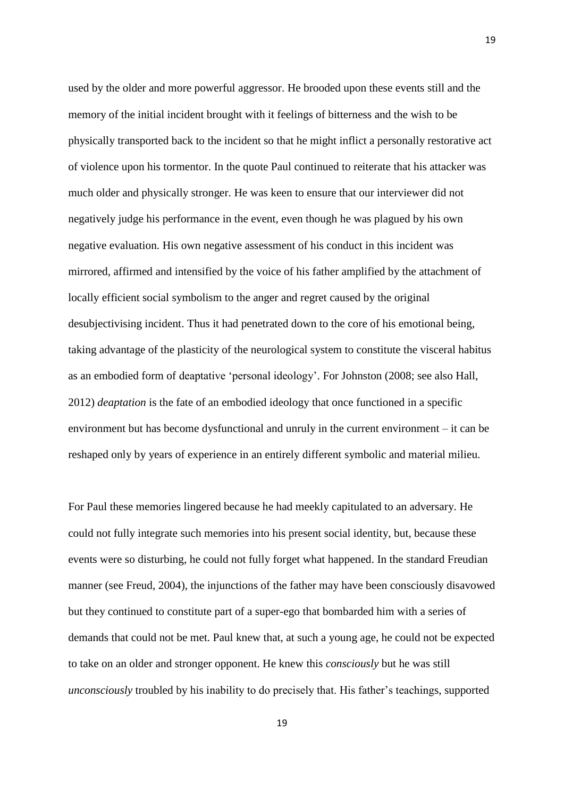used by the older and more powerful aggressor. He brooded upon these events still and the memory of the initial incident brought with it feelings of bitterness and the wish to be physically transported back to the incident so that he might inflict a personally restorative act of violence upon his tormentor. In the quote Paul continued to reiterate that his attacker was much older and physically stronger. He was keen to ensure that our interviewer did not negatively judge his performance in the event, even though he was plagued by his own negative evaluation. His own negative assessment of his conduct in this incident was mirrored, affirmed and intensified by the voice of his father amplified by the attachment of locally efficient social symbolism to the anger and regret caused by the original desubjectivising incident. Thus it had penetrated down to the core of his emotional being, taking advantage of the plasticity of the neurological system to constitute the visceral habitus as an embodied form of deaptative 'personal ideology'. For Johnston (2008; see also Hall, 2012) *deaptation* is the fate of an embodied ideology that once functioned in a specific environment but has become dysfunctional and unruly in the current environment – it can be reshaped only by years of experience in an entirely different symbolic and material milieu.

19

For Paul these memories lingered because he had meekly capitulated to an adversary. He could not fully integrate such memories into his present social identity, but, because these events were so disturbing, he could not fully forget what happened. In the standard Freudian manner (see Freud, 2004), the injunctions of the father may have been consciously disavowed but they continued to constitute part of a super-ego that bombarded him with a series of demands that could not be met. Paul knew that, at such a young age, he could not be expected to take on an older and stronger opponent. He knew this *consciously* but he was still *unconsciously* troubled by his inability to do precisely that. His father's teachings, supported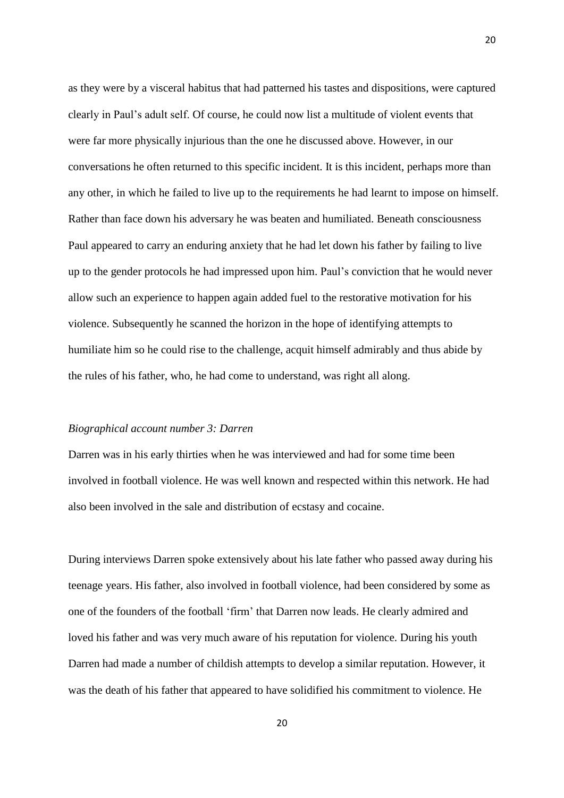as they were by a visceral habitus that had patterned his tastes and dispositions, were captured clearly in Paul's adult self. Of course, he could now list a multitude of violent events that were far more physically injurious than the one he discussed above. However, in our conversations he often returned to this specific incident. It is this incident, perhaps more than any other, in which he failed to live up to the requirements he had learnt to impose on himself. Rather than face down his adversary he was beaten and humiliated. Beneath consciousness Paul appeared to carry an enduring anxiety that he had let down his father by failing to live up to the gender protocols he had impressed upon him. Paul's conviction that he would never allow such an experience to happen again added fuel to the restorative motivation for his violence. Subsequently he scanned the horizon in the hope of identifying attempts to humiliate him so he could rise to the challenge, acquit himself admirably and thus abide by the rules of his father, who, he had come to understand, was right all along.

#### *Biographical account number 3: Darren*

Darren was in his early thirties when he was interviewed and had for some time been involved in football violence. He was well known and respected within this network. He had also been involved in the sale and distribution of ecstasy and cocaine.

During interviews Darren spoke extensively about his late father who passed away during his teenage years. His father, also involved in football violence, had been considered by some as one of the founders of the football 'firm' that Darren now leads. He clearly admired and loved his father and was very much aware of his reputation for violence. During his youth Darren had made a number of childish attempts to develop a similar reputation. However, it was the death of his father that appeared to have solidified his commitment to violence. He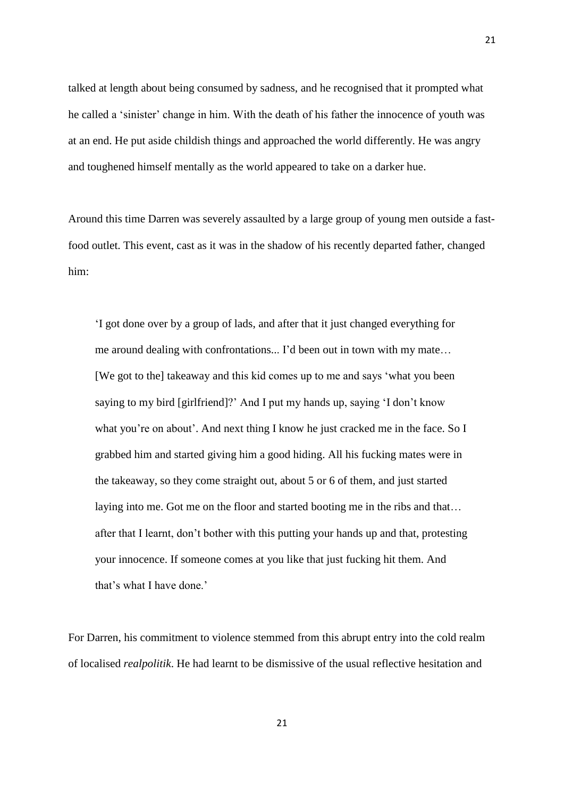talked at length about being consumed by sadness, and he recognised that it prompted what he called a 'sinister' change in him. With the death of his father the innocence of youth was at an end. He put aside childish things and approached the world differently. He was angry and toughened himself mentally as the world appeared to take on a darker hue.

21

Around this time Darren was severely assaulted by a large group of young men outside a fastfood outlet. This event, cast as it was in the shadow of his recently departed father, changed him:

'I got done over by a group of lads, and after that it just changed everything for me around dealing with confrontations... I'd been out in town with my mate… [We got to the] takeaway and this kid comes up to me and says 'what you been saying to my bird [girlfriend]?' And I put my hands up, saying 'I don't know what you're on about'. And next thing I know he just cracked me in the face. So I grabbed him and started giving him a good hiding. All his fucking mates were in the takeaway, so they come straight out, about 5 or 6 of them, and just started laying into me. Got me on the floor and started booting me in the ribs and that… after that I learnt, don't bother with this putting your hands up and that, protesting your innocence. If someone comes at you like that just fucking hit them. And that's what I have done.'

For Darren, his commitment to violence stemmed from this abrupt entry into the cold realm of localised *realpolitik*. He had learnt to be dismissive of the usual reflective hesitation and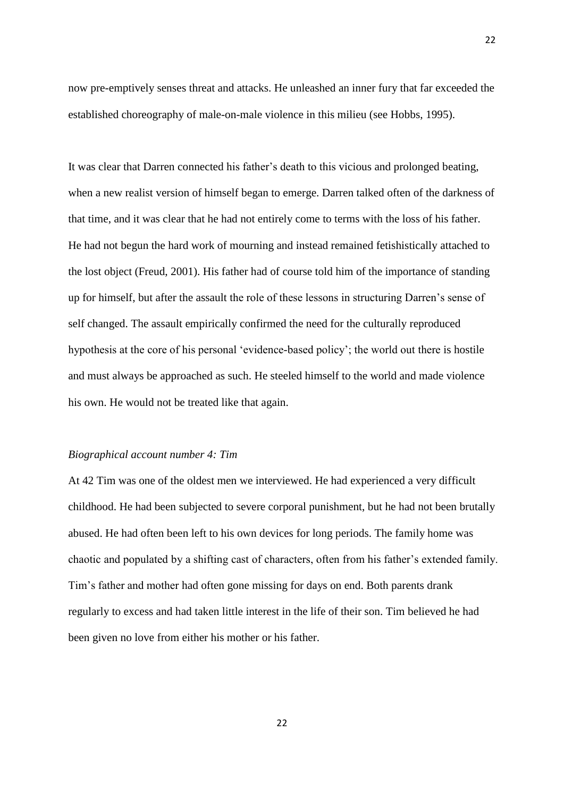now pre-emptively senses threat and attacks. He unleashed an inner fury that far exceeded the established choreography of male-on-male violence in this milieu (see Hobbs, 1995).

It was clear that Darren connected his father's death to this vicious and prolonged beating, when a new realist version of himself began to emerge. Darren talked often of the darkness of that time, and it was clear that he had not entirely come to terms with the loss of his father. He had not begun the hard work of mourning and instead remained fetishistically attached to the lost object (Freud, 2001). His father had of course told him of the importance of standing up for himself, but after the assault the role of these lessons in structuring Darren's sense of self changed. The assault empirically confirmed the need for the culturally reproduced hypothesis at the core of his personal 'evidence-based policy'; the world out there is hostile and must always be approached as such. He steeled himself to the world and made violence his own. He would not be treated like that again.

#### *Biographical account number 4: Tim*

At 42 Tim was one of the oldest men we interviewed. He had experienced a very difficult childhood. He had been subjected to severe corporal punishment, but he had not been brutally abused. He had often been left to his own devices for long periods. The family home was chaotic and populated by a shifting cast of characters, often from his father's extended family. Tim's father and mother had often gone missing for days on end. Both parents drank regularly to excess and had taken little interest in the life of their son. Tim believed he had been given no love from either his mother or his father.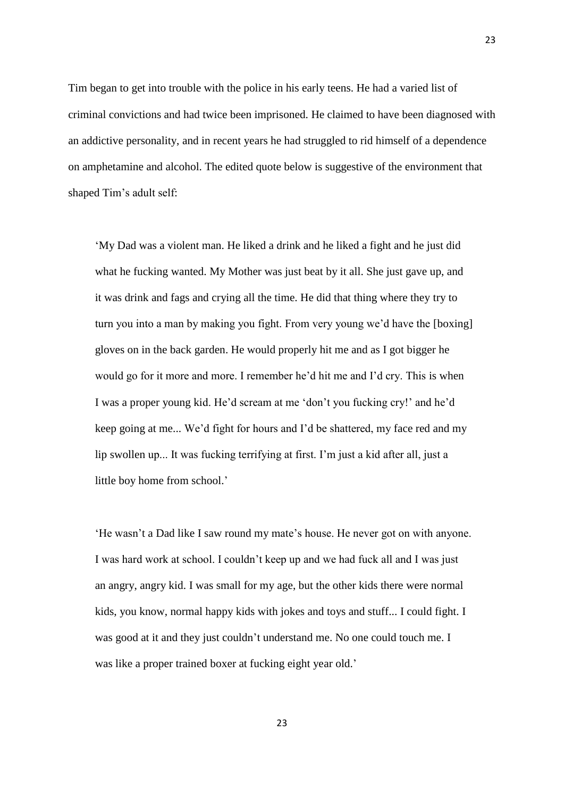Tim began to get into trouble with the police in his early teens. He had a varied list of criminal convictions and had twice been imprisoned. He claimed to have been diagnosed with an addictive personality, and in recent years he had struggled to rid himself of a dependence on amphetamine and alcohol. The edited quote below is suggestive of the environment that shaped Tim's adult self:

'My Dad was a violent man. He liked a drink and he liked a fight and he just did what he fucking wanted. My Mother was just beat by it all. She just gave up, and it was drink and fags and crying all the time. He did that thing where they try to turn you into a man by making you fight. From very young we'd have the [boxing] gloves on in the back garden. He would properly hit me and as I got bigger he would go for it more and more. I remember he'd hit me and I'd cry. This is when I was a proper young kid. He'd scream at me 'don't you fucking cry!' and he'd keep going at me... We'd fight for hours and I'd be shattered, my face red and my lip swollen up... It was fucking terrifying at first. I'm just a kid after all, just a little boy home from school.'

'He wasn't a Dad like I saw round my mate's house. He never got on with anyone. I was hard work at school. I couldn't keep up and we had fuck all and I was just an angry, angry kid. I was small for my age, but the other kids there were normal kids, you know, normal happy kids with jokes and toys and stuff... I could fight. I was good at it and they just couldn't understand me. No one could touch me. I was like a proper trained boxer at fucking eight year old.'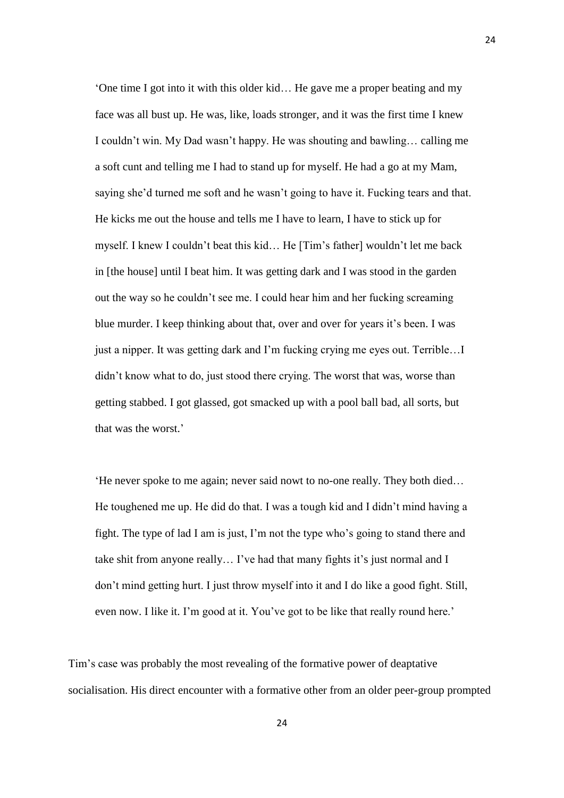'One time I got into it with this older kid… He gave me a proper beating and my face was all bust up. He was, like, loads stronger, and it was the first time I knew I couldn't win. My Dad wasn't happy. He was shouting and bawling… calling me a soft cunt and telling me I had to stand up for myself. He had a go at my Mam, saying she'd turned me soft and he wasn't going to have it. Fucking tears and that. He kicks me out the house and tells me I have to learn, I have to stick up for myself. I knew I couldn't beat this kid… He [Tim's father] wouldn't let me back in [the house] until I beat him. It was getting dark and I was stood in the garden out the way so he couldn't see me. I could hear him and her fucking screaming blue murder. I keep thinking about that, over and over for years it's been. I was just a nipper. It was getting dark and I'm fucking crying me eyes out. Terrible…I didn't know what to do, just stood there crying. The worst that was, worse than getting stabbed. I got glassed, got smacked up with a pool ball bad, all sorts, but that was the worst.'

'He never spoke to me again; never said nowt to no-one really. They both died… He toughened me up. He did do that. I was a tough kid and I didn't mind having a fight. The type of lad I am is just, I'm not the type who's going to stand there and take shit from anyone really… I've had that many fights it's just normal and I don't mind getting hurt. I just throw myself into it and I do like a good fight. Still, even now. I like it. I'm good at it. You've got to be like that really round here.'

Tim's case was probably the most revealing of the formative power of deaptative socialisation. His direct encounter with a formative other from an older peer-group prompted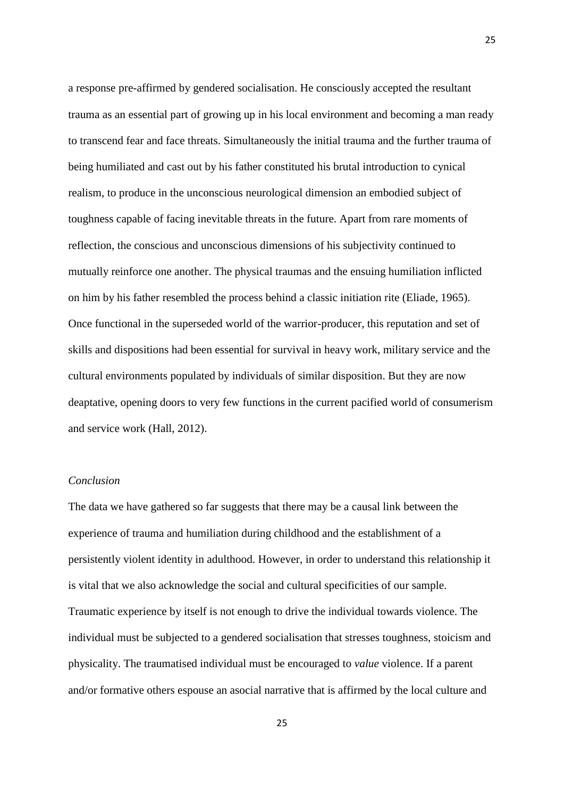a response pre-affirmed by gendered socialisation. He consciously accepted the resultant trauma as an essential part of growing up in his local environment and becoming a man ready to transcend fear and face threats. Simultaneously the initial trauma and the further trauma of being humiliated and cast out by his father constituted his brutal introduction to cynical realism, to produce in the unconscious neurological dimension an embodied subject of toughness capable of facing inevitable threats in the future. Apart from rare moments of reflection, the conscious and unconscious dimensions of his subjectivity continued to mutually reinforce one another. The physical traumas and the ensuing humiliation inflicted on him by his father resembled the process behind a classic initiation rite (Eliade, 1965). Once functional in the superseded world of the warrior-producer, this reputation and set of skills and dispositions had been essential for survival in heavy work, military service and the cultural environments populated by individuals of similar disposition. But they are now deaptative, opening doors to very few functions in the current pacified world of consumerism and service work (Hall, 2012).

# *Conclusion*

The data we have gathered so far suggests that there may be a causal link between the experience of trauma and humiliation during childhood and the establishment of a persistently violent identity in adulthood. However, in order to understand this relationship it is vital that we also acknowledge the social and cultural specificities of our sample. Traumatic experience by itself is not enough to drive the individual towards violence. The individual must be subjected to a gendered socialisation that stresses toughness, stoicism and physicality. The traumatised individual must be encouraged to *value* violence. If a parent and/or formative others espouse an asocial narrative that is affirmed by the local culture and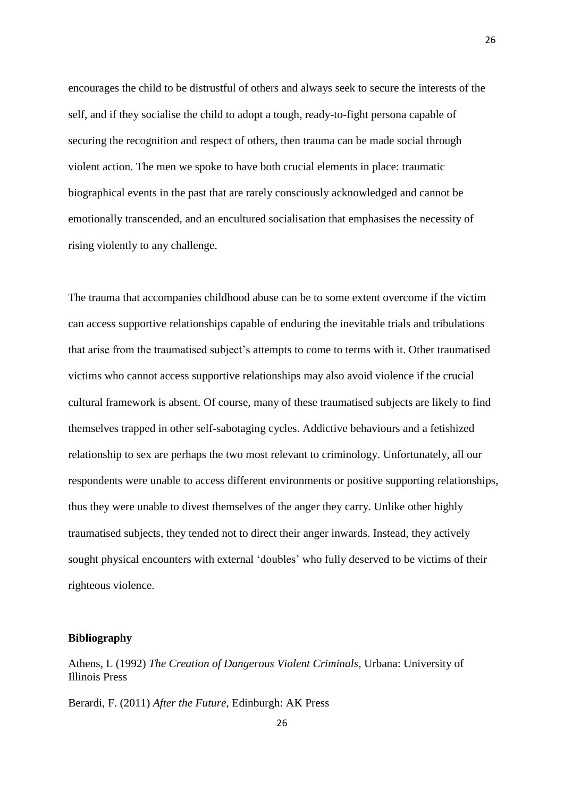encourages the child to be distrustful of others and always seek to secure the interests of the self, and if they socialise the child to adopt a tough, ready-to-fight persona capable of securing the recognition and respect of others, then trauma can be made social through violent action. The men we spoke to have both crucial elements in place: traumatic biographical events in the past that are rarely consciously acknowledged and cannot be emotionally transcended, and an encultured socialisation that emphasises the necessity of rising violently to any challenge.

The trauma that accompanies childhood abuse can be to some extent overcome if the victim can access supportive relationships capable of enduring the inevitable trials and tribulations that arise from the traumatised subject's attempts to come to terms with it. Other traumatised victims who cannot access supportive relationships may also avoid violence if the crucial cultural framework is absent. Of course, many of these traumatised subjects are likely to find themselves trapped in other self-sabotaging cycles. Addictive behaviours and a fetishized relationship to sex are perhaps the two most relevant to criminology. Unfortunately, all our respondents were unable to access different environments or positive supporting relationships, thus they were unable to divest themselves of the anger they carry. Unlike other highly traumatised subjects, they tended not to direct their anger inwards. Instead, they actively sought physical encounters with external 'doubles' who fully deserved to be victims of their righteous violence.

# **Bibliography**

Athens, L (1992) *The Creation of Dangerous Violent Criminals,* Urbana: University of Illinois Press

Berardi, F. (2011) *After the Future,* Edinburgh: AK Press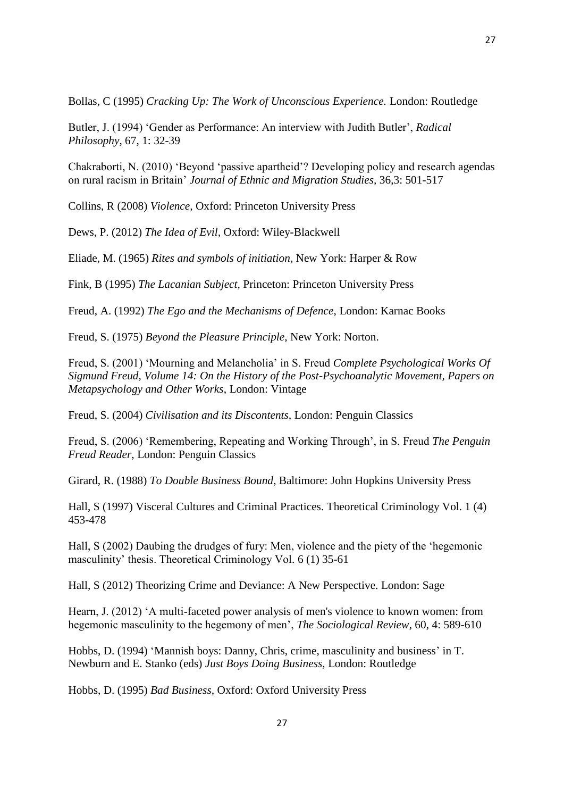Bollas, C (1995) *Cracking Up: The Work of Unconscious Experience.* London: Routledge

Butler, J. (1994) 'Gender as Performance: An interview with Judith Butler', *Radical Philosophy*, 67, 1: 32-39

Chakraborti, N. (2010) 'Beyond 'passive apartheid'? Developing policy and research agendas on rural racism in Britain' *Journal of Ethnic and Migration Studies,* 36,3: 501-517

Collins, R (2008) *Violence,* Oxford: Princeton University Press

Dews, P. (2012) *The Idea of Evil,* Oxford: Wiley-Blackwell

Eliade, M. (1965) *Rites and symbols of initiation,* New York: Harper & Row

Fink, B (1995) *The Lacanian Subject,* Princeton: Princeton University Press

Freud, A. (1992) *The Ego and the Mechanisms of Defence*, London: Karnac Books

Freud, S. (1975) *Beyond the Pleasure Principle*, New York: Norton.

Freud, S. (2001) 'Mourning and Melancholia' in S. Freud *Complete Psychological Works Of Sigmund Freud, Volume 14: On the History of the Post-Psychoanalytic Movement, Papers on Metapsychology and Other Works*, London: Vintage

Freud, S. (2004) *Civilisation and its Discontents,* London: Penguin Classics

Freud, S. (2006) 'Remembering, Repeating and Working Through', in S. Freud *The Penguin Freud Reader*, London: Penguin Classics

Girard, R. (1988) *To Double Business Bound,* Baltimore: John Hopkins University Press

Hall, S (1997) Visceral Cultures and Criminal Practices. Theoretical Criminology Vol. 1 (4) 453-478

Hall, S (2002) Daubing the drudges of fury: Men, violence and the piety of the 'hegemonic masculinity' thesis. Theoretical Criminology Vol. 6 (1) 35-61

Hall, S (2012) Theorizing Crime and Deviance: A New Perspective. London: Sage

Hearn, J. (2012) 'A multi-faceted power analysis of men's violence to known women: from hegemonic masculinity to the hegemony of men', *The Sociological Review*, 60, 4: 589-610

Hobbs, D. (1994) 'Mannish boys: Danny, Chris, crime, masculinity and business' in T. Newburn and E. Stanko (eds) *Just Boys Doing Business,* London: Routledge

Hobbs, D. (1995) *Bad Business,* Oxford: Oxford University Press